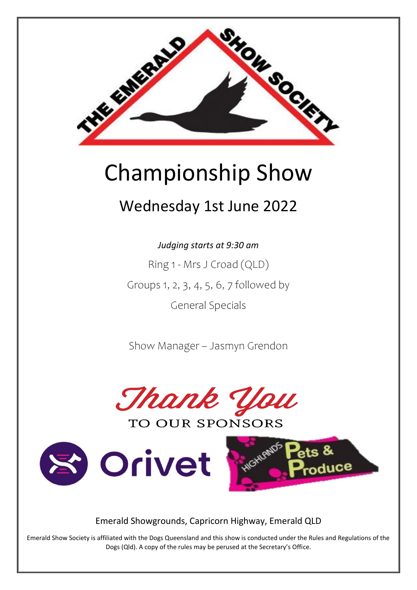

# **Championship Show**

# Wednesday 1st June 2022

Judging starts at 9:30 am

Ring 1 - Mrs J Croad (QLD) Groups 1, 2, 3, 4, 5, 6, 7 followed by **General Specials** 

Show Manager - Jasmyn Grendon



**TO OUR SPONSORS** 





Emerald Showgrounds, Capricorn Highway, Emerald QLD

Emerald Show Society is affiliated with the Dogs Queensland and this show is conducted under the Rules and Regulations of the Dogs (Qld). A copy of the rules may be perused at the Secretary's Office.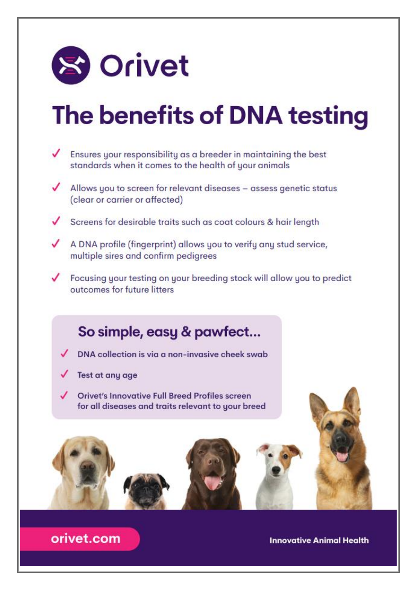

# The benefits of DNA testing

- Ensures your responsibility as a breeder in maintaining the best standards when it comes to the health of your animals  $\blacktriangleright$  Allows you to screen for relevant diseases – assess genetic status (clear or carrier or affected) Screens for desirable traits such as coat colours & hair length
- A DNA profile (fingerprint) allows you to verify any stud service, multiple sires and confirm pedigrees
- ✔ Focusing your testing on your breeding stock will allow you to predict outcomes for future litters

# So simple, easy & pawfect...

- $\n *DNA* collection is via a non-invasive check swab\n$
- Test at any age
- **Orivet's Innovative Full Breed Profiles screen** for all diseases and traits relevant to your breed



orivet.com

**Innovative Animal Health**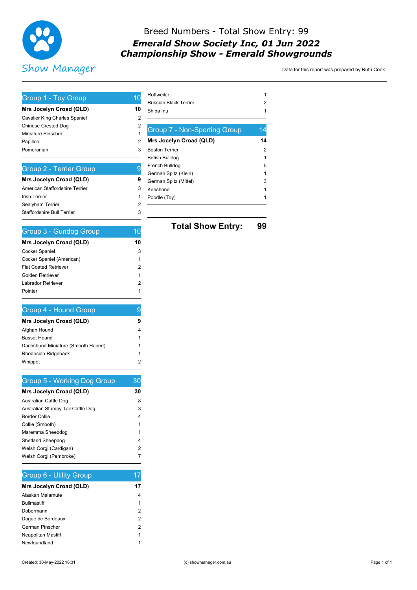

## Breed Numbers - Total Show Entry: 99 **Emerald Show Society Inc, 01 Jun 2022 Championship Show - Emerald Showgrounds**

Data for this report was prepared by Ruth Cook

| Group 1 - Toy Group                                   | 10     |
|-------------------------------------------------------|--------|
| Mrs Jocelyn Croad (QLD)                               | 10     |
| Cavalier King Charles Spaniel                         | 2      |
| <b>Chinese Crested Dog</b>                            | 2      |
| <b>Miniature Pinscher</b>                             | 1      |
| Papillon                                              | 2      |
| Pomeranian                                            | 3      |
|                                                       | 9      |
| <b>Group 2 - Terrier Group</b>                        |        |
| Mrs Jocelyn Croad (QLD)                               | 9      |
| American Staffordshire Terrier                        | 3      |
| <b>Irish Terrier</b>                                  | 1      |
| Sealyham Terrier<br><b>Staffordshire Bull Terrier</b> | 2<br>3 |
|                                                       |        |
| <b>Group 3 - Gundog Group</b>                         | 10     |
| Mrs Jocelyn Croad (QLD)                               | 10     |
| Cocker Spaniel                                        | 3      |
| Cocker Spaniel (American)                             | 1      |
| <b>Flat Coated Retriever</b>                          | 2      |
| Golden Retriever                                      | 1      |
| Labrador Retriever                                    | 2      |
| Pointer                                               | 1      |
| Group 4 - Hound Group                                 | 9      |
| Mrs Jocelyn Croad (QLD)                               | 9      |
| Afghan Hound                                          | 4      |
| <b>Basset Hound</b>                                   | 1      |
| Dachshund Miniature (Smooth Haired)                   | 1      |
| Rhodesian Ridgeback                                   | 1      |
| Whippet                                               | 2      |
| <b>Group 5 - Working Dog Group</b>                    | 30     |
| Mrs Jocelyn Croad (QLD)                               | 30     |
| Australian Cattle Dog                                 | 8      |
| Australian Stumpy Tail Cattle Dog                     | 3      |
| <b>Border Collie</b>                                  | 4      |
| Collie (Smooth)                                       | 1      |
| Maremma Sheepdog                                      | 1      |
| Shetland Sheepdog                                     | 4      |
| Welsh Corgi (Cardigan)                                | 2      |
| Welsh Corgi (Pembroke)                                | 7      |
|                                                       |        |

## Group 6 - Utility Group

| Mrs Jocelyn Croad (QLD)   | 17 |
|---------------------------|----|
| Alaskan Malamute          |    |
| <b>Bullmastiff</b>        | 1  |
| Dobermann                 | 2  |
| Doque de Bordeaux         | 2  |
| German Pinscher           | 2  |
| <b>Neapolitan Mastiff</b> | 1  |
| Newfoundland              |    |

 $17$ 

| Rottweiler                          | 1  |
|-------------------------------------|----|
| Russian Black Terrier               | 2  |
| Shiba Inu                           |    |
|                                     |    |
| <b>Group 7 - Non-Sporting Group</b> | 14 |
| Mrs Jocelyn Croad (QLD)             | 14 |
| Boston Terrier                      | 2  |
| British Bulldog                     | 1  |
| French Bulldog                      | 5  |
| German Spitz (Klein)                | 1  |
| German Spitz (Mittel)               | 3  |
| Keeshond                            |    |
| Poodle (Toy)                        |    |
|                                     |    |
|                                     |    |

**Total Show Entry:** 99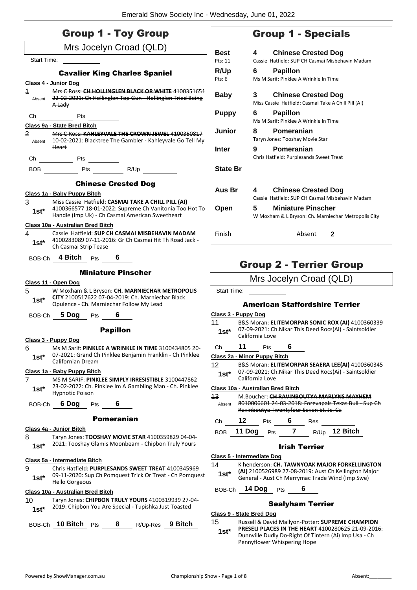|                                   | <b>Group 1 - Toy Group</b>                                                                                                                                       |                                       | Group 1                                                                    |
|-----------------------------------|------------------------------------------------------------------------------------------------------------------------------------------------------------------|---------------------------------------|----------------------------------------------------------------------------|
|                                   | Mrs Jocelyn Croad (QLD)                                                                                                                                          | Best                                  | 4<br><b>Chinese</b>                                                        |
| <b>Start Time:</b>                |                                                                                                                                                                  | Pts: 11                               | Cassie Hatfield: SUF                                                       |
|                                   | <b>Cavalier King Charles Spaniel</b>                                                                                                                             | R/Up                                  | Papillon<br>6                                                              |
|                                   | Class 4 - Junior Dog                                                                                                                                             | Pts: 6                                | Ms M Sarif: Pinklee                                                        |
| $\overline{\mathbf{1}}$<br>Absent | Mrs C Ross: CH HOLLINGLEN BLACK OR WHITE 4100351651<br>22 02 2021: Ch Hollinglen Top Gun Hollinglen Tried Being<br>A Lady                                        | <b>Baby</b>                           | 3<br><b>Chinese</b><br>Miss Cassie Hatfield                                |
| Ch                                | Pts                                                                                                                                                              | <b>Puppy</b>                          | Papillon<br>6                                                              |
|                                   | Class 9a - State Bred Bitch                                                                                                                                      |                                       | Ms M Sarif: Pinklee                                                        |
| $\overline{2}$                    | Mrs C Ross: KAHLEYVALE THE CROWN JEWEL 4100350817<br>Absent 10-02-2021: Blacktree The Gambler - Kahleyvale Go Tell My                                            | Junior                                | Pomera<br>8<br>Taryn Jones: Toosha                                         |
|                                   | <b>Heart</b>                                                                                                                                                     | Inter                                 | 9<br>Pomera<br>Chris Hatfield: Purpl                                       |
|                                   | Ch Pts                                                                                                                                                           |                                       |                                                                            |
|                                   | BOB Pts R/Up                                                                                                                                                     | <b>State Br</b>                       |                                                                            |
|                                   | <b>Chinese Crested Dog</b>                                                                                                                                       | Aus Br                                | 4<br>Chinese                                                               |
|                                   | Class 1a - Baby Puppy Bitch                                                                                                                                      |                                       | Cassie Hatfield: SUP                                                       |
| 3<br>$1st^*$                      | Miss Cassie Hatfield: CASMAI TAKE A CHILL PILL (AI)<br>4100366577 18-01-2022: Supreme Ch Vanitonia Too Hot To<br>Handle (Imp Uk) - Ch Casmai American Sweetheart | Open                                  | 5<br><b>Miniatur</b><br>W Moxham & L Brys                                  |
|                                   | Class 10a - Australian Bred Bitch                                                                                                                                |                                       |                                                                            |
| 4<br>$1st^*$                      | Cassie Hatfield: SUP CH CASMAI MISBEHAVIN MADAM<br>4100283089 07-11-2016: Gr Ch Casmai Hit Th Road Jack -<br>Ch Casmai Strip Tease                               | Finish                                |                                                                            |
|                                   | BOB-Ch 4 Bitch Pts<br>6                                                                                                                                          |                                       |                                                                            |
|                                   | <b>Miniature Pinscher</b>                                                                                                                                        |                                       | Group 2 - T                                                                |
|                                   | Class 11 - Open Dog                                                                                                                                              |                                       | Mrs Jocelyn                                                                |
| 5<br>1st*                         | W Moxham & L Bryson: CH. MARNIECHAR METROPOLIS<br>CITY 2100517622 07-04-2019: Ch. Marniechar Black                                                               | Start Time:                           |                                                                            |
|                                   | Opulence - Ch. Marniechar Follow My Lead                                                                                                                         |                                       | <b>American Staff</b>                                                      |
| BOB-Ch                            | <b>5 Dog</b> Pts<br>6                                                                                                                                            | Class 3 - Puppy Dog<br>11             | <b>B&amp;S Moran: ELITEMORI</b>                                            |
|                                   | <b>Papillon</b>                                                                                                                                                  | 1st*                                  | 07-09-2021: Ch.Nikar Th<br>California Love                                 |
| 6                                 | Class 3 - Puppy Dog<br>Ms M Sarif: PINKLEE A WRINKLE IN TIME 3100434805 20-                                                                                      | 11<br>Ch                              | 6<br><b>Pts</b>                                                            |
| $1st^*$                           | 07-2021: Grand Ch Pinklee Benjamin Franklin - Ch Pinklee                                                                                                         |                                       | Class 2a - Minor Puppy Bitch                                               |
|                                   | Californian Dream                                                                                                                                                | 12                                    | <b>B&amp;S Moran: ELITEMORI</b>                                            |
| 7                                 | Class 1a - Baby Puppy Bitch<br>MS M SARIF: PINKLEE SIMPLY IRRESISTIBLE 3100447862                                                                                | $1st^*$                               | 07-09-2021: Ch.Nikar Th<br>California Love                                 |
| $1st*$                            | 23-02-2022: Ch. Pinklee Im A Gambling Man - Ch. Pinklee                                                                                                          |                                       | Class 10a - Australian Bred Bitch                                          |
| BOB-Ch                            | <b>Hypnotic Poison</b><br>6 Dog<br>6<br>Pts                                                                                                                      | 43<br>Absent                          | M.Boucher: CH RAVINB<br>8010006601 24-03-2018<br>Ravinboutya Twentyfou     |
|                                   | <b>Pomeranian</b>                                                                                                                                                | 12<br>Ch                              | 6<br>Pts                                                                   |
|                                   | Class 4a - Junior Bitch                                                                                                                                          | <b>BOB</b>                            | 11 Dog<br>7<br>Pts                                                         |
| 8<br>$1st*$                       | Taryn Jones: TOOSHAY MOVIE STAR 4100359829 04-04-<br>2021: Tooshay Glamis Moonbeam - Chipbon Truly Yours                                                         |                                       | Irish '                                                                    |
|                                   | Class 5a - Intermediate Bitch                                                                                                                                    | Class 5 - Intermediate Dog            |                                                                            |
| 9<br>$1st^*$                      | Chris Hatfield: PURPLESANDS SWEET TREAT 4100345969<br>09-11-2020: Sup Ch Pomquest Trick Or Treat - Ch Pomquest                                                   | 14<br>$1st^*$                         | K henderson: CH. TAWN<br>(AI) 2100526989 27-08-<br>General - Aust Ch Merry |
|                                   | <b>Hello Gorgeous</b>                                                                                                                                            | BOB-Ch                                | 14 Dog<br>Pts                                                              |
|                                   |                                                                                                                                                                  |                                       |                                                                            |
|                                   | Class 10a - Australian Bred Bitch                                                                                                                                |                                       |                                                                            |
| 10<br>$1st^*$                     | Taryn Jones: CHIPBON TRULY YOURS 4100319939 27-04-<br>2019: Chipbon You Are Special - Tupishka Just Toasted                                                      | <b>Class 9 - State Bred Dog</b><br>15 | <b>Sealyha</b><br>Russell & David Mallyon                                  |

## - Specials

| Best            | <b>Chinese Crested Dog</b><br>4                                                         |
|-----------------|-----------------------------------------------------------------------------------------|
| Pts: 11         | Cassie, Hatfield: SUP CH Casmai Misbehavin Madam                                        |
| <b>R/Up</b>     | <b>Papillon</b><br>6                                                                    |
| $P$ ts: 6       | Ms M Sarif: Pinklee A Wrinkle In Time                                                   |
| Baby            | <b>Chinese Crested Dog</b><br>3.<br>Miss Cassie Hatfield: Casmai Take A Chill Pill (AI) |
| <b>Puppy</b>    | 6<br><b>Papillon</b>                                                                    |
|                 | Ms M Sarif: Pinklee A Wrinkle In Time                                                   |
| Junior          | Pomeranian<br>8                                                                         |
|                 | Taryn Jones: Tooshay Movie Star                                                         |
| Inter           | Pomeranian<br>9                                                                         |
|                 | Chris Hatfield: Purplesands Sweet Treat                                                 |
| <b>State Br</b> |                                                                                         |
|                 |                                                                                         |
| Aus Br          | <b>Chinese Crested Dog</b><br>4<br>Cassie, Hatfield: SUP CH Casmai Misbehavin Madam     |
| Open            | <b>Miniature Pinscher</b><br>5.                                                         |
|                 | W Moxham & L Bryson: Ch. Marniechar Metropolis City                                     |
| Finish          | Absent<br>2                                                                             |

## **errier Group**

## Croad (QLD)

## **Fordshire Terrier**

| 11     | B&S Moran: ELITEMORPAR SONIC ROX (AI) 4100360339        |
|--------|---------------------------------------------------------|
| $1st*$ | 07-09-2021: Ch. Nikar This Deed Rocs(Ai) - Saintsoldier |
|        | California Lovo                                         |

**PAR SEAERA LEE(AI)** 4100360345 his Deed Rocs(Ai) - Saintsoldier

13 M.Boucher: **CH RAVINBOUTYA MARLYNS MAYHEM** 8: Forevapals Texas Bull - Sup Ch ravis Tanguna Tan.<br>ur Seven Et. Jc. Ca

Ch **12** Pts **6** Res

BOB **11 Dog** Pts **7** R/Up **12 Bitch**

#### **Terrier**

**NYOAK MAJOR FORKELLINGTON** -2019: Aust Ch Kellington Major ymac Trade Wind (Imp Swe)

BOB-Ch **14 Dog** Pts **6**

## am Terrier

15 Russell & David Mallyon-Potter: **SUPREME CHAMPION PRESELI PLACES IN THE HEART** 4100280625 21-09-2016: Dunnville Dudly Do-Right Of Tintern (Ai) Imp Usa - Ch Pennyflower Whispering Hope **1st\***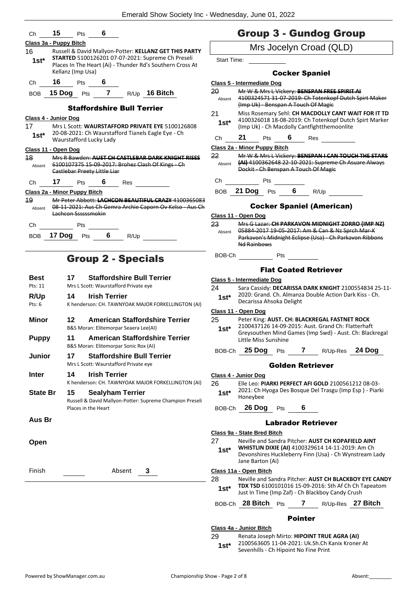| Ch              | 15                           | Pts        | 6                            |                                   |                                                                                                                       |                    | Ċ              |
|-----------------|------------------------------|------------|------------------------------|-----------------------------------|-----------------------------------------------------------------------------------------------------------------------|--------------------|----------------|
|                 | Class 3a - Puppy Bitch       |            |                              |                                   |                                                                                                                       |                    |                |
| 16              |                              |            |                              |                                   | Russell & David Mallyon-Potter: KELLANZ GET THIS PARTY                                                                |                    |                |
| 1st*            | Kellanz (Imp Usa)            |            |                              |                                   | <b>STARTED 5100126201 07-07-2021: Supreme Ch Preseli</b><br>Places In The Heart (Ai) - Thunder Rd's Southern Cross At | <b>Start Time:</b> |                |
| Ch              | 16                           | <b>Pts</b> | $\overline{\mathbf{6}}$      |                                   |                                                                                                                       | Class 5 - Inte     |                |
| <b>BOB</b>      |                              |            |                              |                                   | 15 Dog Pts 7 R/Up 16 Bitch                                                                                            | 20                 | M              |
|                 |                              |            |                              |                                   |                                                                                                                       | Absent             | 41<br>(Ir      |
|                 |                              |            |                              | <b>Staffordshire Bull Terrier</b> |                                                                                                                       | 21                 | M              |
|                 | Class 4 - Junior Dog         |            |                              |                                   |                                                                                                                       |                    | 41             |
| 17 <sup>7</sup> |                              |            |                              |                                   | Mrs L Scott: WAURSTAFFORD PRIVATE EYE 5100126808                                                                      | 1st*               | (Ir            |
| $1st^*$         | Waurstafford Lucky Lady      |            |                              |                                   | 20-08-2021: Ch Waurstafford Tianels Eagle Eye - Ch                                                                    | Ch                 | $2^{\prime}$   |
|                 | Class 11 - Open Dog          |            |                              |                                   |                                                                                                                       | Class 2a - M       |                |
| 48              |                              |            |                              |                                   | Mrs R Bawden: AUST CH CASTLEBAR DARK KNIGHT RISES                                                                     | 22                 | M              |
| Absent          |                              |            | Castlebar Preety Little Liar |                                   | 6100107375 15-09-2017: Brohez Clash Of Kings - Ch                                                                     | Absent             | μ<br>Đe        |
| Ch              | 17                           | <b>Pts</b> | $6\degree$                   | Res                               |                                                                                                                       | Ch                 |                |
|                 | Class 2a - Minor Puppy Bitch |            |                              |                                   |                                                                                                                       | <b>BOB</b>         | 21             |
| 19              |                              |            |                              |                                   | Mr Peter Abbott: LACHCON BEAUTIFUL CRAZY 4100365083                                                                   |                    |                |
| Absent          |                              |            |                              |                                   | 08 11 2021: Aus Ch Gemra Archie Caporn Ov Kelso Aus Ch                                                                |                    |                |
|                 | Lachcon Ssssssmokin          |            |                              |                                   |                                                                                                                       | Class $11 - 0$     |                |
| Ch              |                              | Pts        |                              |                                   |                                                                                                                       | 23                 | M              |
| BOB             | 17 Dog                       | Pts        | - 6                          | R/Up                              |                                                                                                                       | Absent             | 05<br>Pa       |
|                 |                              |            |                              |                                   |                                                                                                                       |                    | N <sub>c</sub> |
|                 |                              |            |                              |                                   |                                                                                                                       |                    |                |

# Group 2 - Specials

| Best            | <b>Staffordshire Bull Terrier</b><br>17                                                   | <b>Class 5 - Intermediat</b>                                                 |
|-----------------|-------------------------------------------------------------------------------------------|------------------------------------------------------------------------------|
| Pts: 11         | Mrs L Scott: Waurstafford Private eye                                                     | 24<br>Sara Cassic                                                            |
| R/Up<br>Pts: 6  | <b>Irish Terrier</b><br>14<br>K henderson: CH. TAWNYOAK MAJOR FORKELLINGTON (AI)          | 2020: Grar<br>$1st^*$<br>Decarissa /                                         |
| Minor           | <b>American Staffordshire Terrier</b><br>12<br>B&S Moran: Elitemorpar Seaera Lee(AI)      | Class 11 - Open Dog<br>25<br>Peter King:<br>210043712<br>$1st*$<br>Greysouth |
| <b>Puppy</b>    | American Staffordshire Terrier<br>11<br>B&S Moran: Elitemorpar Sonic Rox (AI)             | Little Miss                                                                  |
| Junior          | 17<br><b>Staffordshire Bull Terrier</b><br>Mrs L Scott: Waurstafford Private eye          | 25 Dog<br>BOB-Ch                                                             |
| <b>Inter</b>    | <b>Irish Terrier</b><br>14<br>K henderson: CH. TAWNYOAK MAJOR FORKELLINGTON (AI)          | Class 4 - Junior Dog<br>26<br>Elle Leo: PI                                   |
| <b>State Br</b> | <b>Sealyham Terrier</b><br>15<br>Russell & David Mallyon-Potter: Supreme Champion Preseli | 2021: Ch H<br>$1st^*$<br>Honeybee                                            |
|                 | Places in the Heart                                                                       | $26$ Dog<br>BOB-Ch                                                           |
| Aus Br          |                                                                                           |                                                                              |
|                 |                                                                                           | Class 9a - State Bred                                                        |
| Open            |                                                                                           | 27<br>Neville and<br><b>WHISTLIN</b><br>$1st^*$<br>Devonshire<br>Jane Barto  |
| Finish          | 3<br>Absent                                                                               | Class 11a - Open Bit                                                         |
|                 |                                                                                           | 28<br>Neville and<br><b>TDX TSD 6</b><br>$1st^*$<br>Just In Tim              |
|                 |                                                                                           | 28 Bitc<br>BOB-Ch                                                            |
|                 |                                                                                           |                                                                              |

## Group 3 - Gundog Group

|                    |                                      |                           |     | na y                                                    |                                                                                                                |
|--------------------|--------------------------------------|---------------------------|-----|---------------------------------------------------------|----------------------------------------------------------------------------------------------------------------|
|                    |                                      |                           |     | Mrs Jocelyn Croad (QLD)                                 |                                                                                                                |
| <b>Start Time:</b> |                                      |                           |     |                                                         |                                                                                                                |
|                    |                                      | <b>Cocker Spaniel</b>     |     |                                                         |                                                                                                                |
|                    | Class 5 - Intermediate Dog           |                           |     |                                                         |                                                                                                                |
| 20                 |                                      |                           |     | Mr W & Mrs L Vickery: BENSPAN FREE SPIRIT AI            |                                                                                                                |
| Absent             | (Imp Uk) - Benspan A Touch Of Magic  |                           |     |                                                         | 4100324571 31 07 2019: Ch Totenkopf Dutch Spirt Maker                                                          |
| 21                 |                                      |                           |     |                                                         | Miss Rosemary Sehl: CH MACDOLLY CANT WAIT FOR IT TD                                                            |
| 1st*               |                                      |                           |     | (Imp Uk) - Ch Macdolly Cantfightthemoonlite             | 4100326018 18-08-2019: Ch Totenkopf Dutch Spirt Marker                                                         |
| Сh                 | 21<br>Pts                            | 6                         | Res |                                                         |                                                                                                                |
|                    | Class 2a - Minor Puppy Bitch         |                           |     |                                                         |                                                                                                                |
| 22                 |                                      |                           |     |                                                         | Mr W & Mrs L Vickery: BENSPAN I CAN TOUCH THE STARS                                                            |
| Absent             | Dockit - Ch Benspan A Touch Of Magie |                           |     |                                                         | (AI) 4100362648 22 10 2021: Supreme Ch Asuare Always                                                           |
| Сh                 | Pts                                  |                           |     |                                                         |                                                                                                                |
| BOB                | 21 Dog<br>Pts                        | 6                         |     | R/Up                                                    |                                                                                                                |
|                    |                                      |                           |     | <b>Cocker Spaniel (American)</b>                        |                                                                                                                |
|                    | Class 11 - Open Dog                  |                           |     |                                                         |                                                                                                                |
| 23                 |                                      |                           |     | Mrs G Lazar: CH PARKAVON MIDNIGHT ZORRO (IMP NZ)        |                                                                                                                |
| Absent             |                                      |                           |     | 05884-2017 19-05-2017: Am & Can & Nz Sprch Mar-K        |                                                                                                                |
|                    |                                      |                           |     | Parkavon's Midnight Eclipse (Usa) - Ch Parkavon Ribbons |                                                                                                                |
|                    | <del>Nd Rainbows</del>               |                           |     |                                                         |                                                                                                                |
| BOB-Ch             |                                      | Pts                       |     |                                                         |                                                                                                                |
|                    |                                      |                           |     |                                                         |                                                                                                                |
|                    |                                      |                           |     | <b>Flat Coated Retriever</b>                            |                                                                                                                |
| 24                 | <u> Class 5 - Intermediate Dog</u>   |                           |     |                                                         |                                                                                                                |
|                    |                                      |                           |     | 2020: Grand. Ch. Almanza Double Action Dark Kiss - Ch.  | Sara Cassidy: DECARISSA DARK KNIGHT 2100554834 25-11-                                                          |
| $1st*$             | Decarissa Ahsoka Delight             |                           |     |                                                         |                                                                                                                |
|                    | <u>Class 11 - Open Dog</u>           |                           |     |                                                         |                                                                                                                |
| 25                 |                                      |                           |     | Peter King: AUST. CH: BLACKREGAL FASTNET ROCK           |                                                                                                                |
| 1st*               |                                      |                           |     | 2100437126 14-09-2015: Aust. Grand Ch: Flatterhaft      |                                                                                                                |
|                    | Little Miss Sunshine                 |                           |     |                                                         | Greysouthen Mind Games (Imp Swd) - Aust. Ch: Blackregal                                                        |
|                    | 25 Dog                               |                           |     |                                                         |                                                                                                                |
| BOB-Ch             |                                      | Pts                       |     | 7 R/Up-Res                                              | 24 Dog                                                                                                         |
|                    |                                      | <b>Golden Retriever</b>   |     |                                                         |                                                                                                                |
|                    | <b>Class 4 - Junior Dog</b>          |                           |     |                                                         |                                                                                                                |
| 26                 |                                      |                           |     | Elle Leo: PIARKI PERFECT AFI GOLD 2100561212 08-03-     |                                                                                                                |
| $1st^*$            |                                      |                           |     | 2021: Ch Hyoga Des Bosque Del Trasgu (Imp Esp) - Piarki |                                                                                                                |
|                    | Honeybee                             |                           |     |                                                         |                                                                                                                |
|                    | BOB-Ch 26 Dog Pts 6                  |                           |     |                                                         |                                                                                                                |
|                    |                                      | <b>Labrador Retriever</b> |     |                                                         |                                                                                                                |
|                    | Class 9a - State Bred Bitch          |                           |     |                                                         |                                                                                                                |
| 27                 |                                      |                           |     | Neville and Sandra Pitcher: AUST CH KOPAFIELD AINT      |                                                                                                                |
| $1st^*$            |                                      |                           |     | WHISTLIN DIXIE (AI) 4100329614 14-11-2019: Am Ch        |                                                                                                                |
|                    |                                      |                           |     |                                                         | Devonshires Huckleberry Finn (Usa) - Ch Wynstream Lady                                                         |
|                    | Jane Barton (Ai)                     |                           |     |                                                         |                                                                                                                |
|                    | Class 11a - Open Bitch               |                           |     |                                                         |                                                                                                                |
| 28                 |                                      |                           |     |                                                         | Neville and Sandra Pitcher: AUST CH BLACKBOY EYE CANDY<br>TDX TSD 6100101016 15-09-2016: Sth Af Ch Ch Tapeatom |
| $1st^*$            |                                      |                           |     | Just In Time (Imp Zaf) - Ch Blackboy Candy Crush        |                                                                                                                |
| BOB-Ch             | 28 Bitch                             | <b>Pts</b>                | 7   |                                                         | R/Up-Res 27 Bitch                                                                                              |
|                    |                                      |                           |     |                                                         |                                                                                                                |

## Pointer

**Class 4a - Junior Bitch** 29 Renata Joseph Mirto: **HIPOINT TRUE AGRA (AI)**

1st\* 2100563605 11-04-2021: Uk.Sh.Ch Kanix Kroner At Sevenhills - Ch Hipoint No Fine Print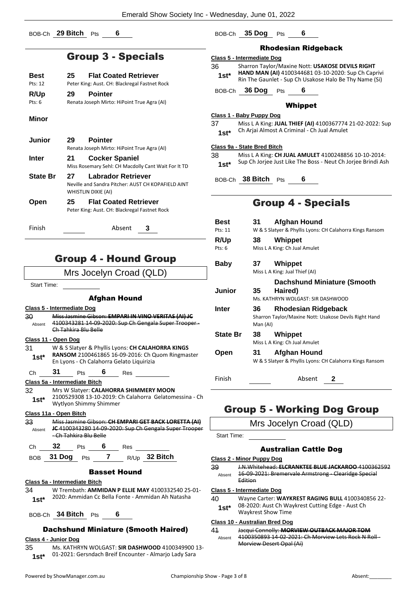BOB-Ch **29 Bitch** Pts **6**

## Group 3 - Specials

| <b>Best</b> | <b>Flat Coated Retriever</b><br>25            |
|-------------|-----------------------------------------------|
| Pts: 12     | Peter King: Aust. CH: Blackregal Fastnet Rock |
| R/Up        | <b>Pointer</b><br>29                          |
| Pts: $6$    | Renata Joseph Mirto: HiPoint True Agra (AI)   |

#### **Minor**

| <b>Junior</b>   | 29  | <b>Pointer</b><br>Renata Joseph Mirto: HiPoint True Agra (AI)                                   |
|-----------------|-----|-------------------------------------------------------------------------------------------------|
| Inter           | 21  | <b>Cocker Spaniel</b><br>Miss Rosemary Sehl: CH Macdolly Cant Wait For It TD                    |
| <b>State Br</b> | 27  | Labrador Retriever<br>Neville and Sandra Pitcher: AUST CH KOPAFIELD AINT<br>WHISTLIN DIXIE (AI) |
| Open            | 25. | <b>Flat Coated Retriever</b><br>Peter King: Aust. CH: Blackregal Fastnet Rock                   |
| Finish          |     | Absent                                                                                          |

## Group 4 - Hound Group

## Mrs Jocelyn Croad (QLD)

Start Time:

#### Afghan Hound

**Class 5 - Intermediate Dog**

| 30     | Miss Jasmine Gibson: EMPARI IN VINO VERITAS (AI) JC   |
|--------|-------------------------------------------------------|
| Absent | 4100343281 14-09-2020: Sup Ch Gengala Super Trooper - |
|        | Ch Tahkira Blu Belle                                  |

#### **Class 11 - Open Dog**

| 31     | W & S Slatyer & Phyllis Lyons: CH CALAHORRA KINGS |
|--------|---------------------------------------------------|
| $1st*$ | RANSOM 2100461865 16-09-2016: Ch Quom Ringmaster  |
|        | En Lyons - Ch Calahorra Gelato Liguirizia         |

| Сh | 31                            | Pts | 6 | Res |
|----|-------------------------------|-----|---|-----|
|    | Class 5a - Intermediate Bitch |     |   |     |

## 32 Mrs W Slatyer: **CALAHORRA SHIMMERY MOON**

2100529308 13-10-2019: Ch Calahorra Gelatomessina - Ch Wytlyon Shimmy Shimmer **1st\***

## **Class 11a - Open Bitch**

33 Miss Jasmine Gibson: **CH EMPARI GET BACK LORETTA (AI) JC** 4100343280 14-09-2020: Sup Ch Gengala Super Trooper - Ch Tahkira Blu Belle Absent

| Ch | - 32           |  | Res |                 |
|----|----------------|--|-----|-----------------|
|    | BOB 31 Dog Pts |  |     | $R/Up$ 32 Bitch |

## Basset Hound

## **Class 5a - Intermediate Bitch**

34 W Trembath: **AMMIDAN P ELLIE MAY** 4100332540 25-01- 1st\* 2020: Ammidan Cc Bella Fonte - Ammidan Ah Natasha

BOB-Ch **34 Bitch** Pts **6**

## Dachshund Miniature (Smooth Haired)

## **Class 4 - Junior Dog**

35 Ms. KATHRYN WOLGAST: **SIR DASHWOOD** 4100349900 13- 01-2021: Gersndach Breif Encounter - Almarjo Lady Sara **1st\***

## BOB-Ch **35 Dog** Pts **6**

#### Rhodesian Ridgeback

#### **Class 5 - Intermediate Dog**

36 Sharron Taylor/Maxine Nott: **USAKOSE DEVILS RIGHT HAND MAN (AI)** 4100344681 03-10-2020: Sup Ch Caprivi **1st\* Ring MAN (AI)** 4100344681 03-10-2020: Sup Ch Caprivi<br>Rin The Gaunlet - Sup Ch Usakose Halo Be Thy Name (Si)

BOB-Ch **36 Dog** Pts **6**

#### Whippet

#### **Class 1 - Baby Puppy Dog**

37 Miss L A King: **JUAL THIEF (AI)** 4100367774 21-02-2022: Sup Ch Arjai Almost A Criminal - Ch Jual Amulet **1st\***

#### **Class 9a - State Bred Bitch**

38 Miss L A King: **CH JUAL AMULET** 4100248856 10-10-2014: 1st\* Sup Ch Jorjee Just Like The Boss - Neut Ch Jorjee Brindi Ash

BOB-Ch **38 Bitch** Pts **6**

## Group 4 - Specials

**Best 31 Afghan Hound** Pts: 11 W & S Slatyer & Phyllis Lyons: CH Calahorra Kings Ransom **R/Up 38 Whippet** Pts: 6 Miss L A King: Ch Jual Amulet **Baby 37 Whippet** Miss L A King: Jual Thief (AI) **Junior 35 Dachshund Miniature (Smooth Haired)** Ms. KATHRYN WOLGAST: SIR DASHWOOD **Inter 36 Rhodesian Ridgeback** Sharron Taylor/Maxine Nott: Usakose Devils Right Hand Man (AI) **State Br 38 Whippet** Miss L A King: Ch Jual Amulet **Open 31 Afghan Hound** W & S Slatyer & Phyllis Lyons: CH Calahorra Kings Ransom Finish Absent **2**

## Group 5 - Working Dog Group

Mrs Jocelyn Croad (QLD)

Start Time:

## Australian Cattle Dog

#### **Class 2 - Minor Puppy Dog**

39 J.N.Whitehead: **ELCRANKTEE BLUE JACKAROO** 4100362592 16-09-2021: Bremervale Armstrong - Clearidge Special Edition Absent

#### **Class 5 - Intermediate Dog**

- 40 Wayne Carter: **WAYKREST RAGING BULL** 4100340856 22- 08-2020: Aust Ch Waykrest Cutting Edge - Aust Ch
	- Waykrest Show Time **1st\***

## **Class 10 - Australian Bred Dog**

41 Jacqui Connolly: **MORVIEW OUTBACK MAJOR TOM** 4100350893 14 02 2021: Ch Morview Lets Rock N Roll Morview Desert Opal (Ai) Absent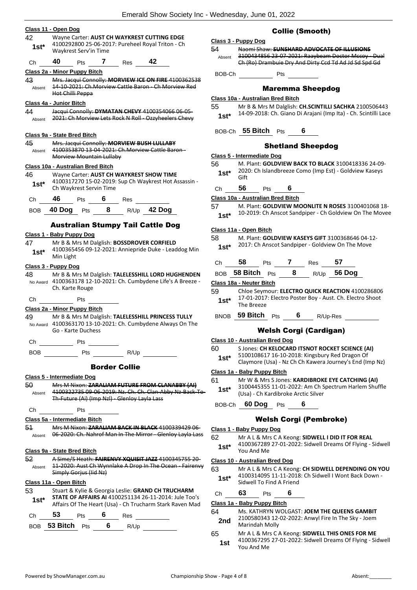|              |                                   |                                               |   |                      | Emerald Show Society Inc - Wednesday, June UT, 2022                                                               |                                       |                          |     |     |              |                                     |                                                                                                   |                                                                                                                          |
|--------------|-----------------------------------|-----------------------------------------------|---|----------------------|-------------------------------------------------------------------------------------------------------------------|---------------------------------------|--------------------------|-----|-----|--------------|-------------------------------------|---------------------------------------------------------------------------------------------------|--------------------------------------------------------------------------------------------------------------------------|
|              | Class 11 - Open Dog               |                                               |   |                      |                                                                                                                   |                                       |                          |     |     |              | <b>Collie (Smooth)</b>              |                                                                                                   |                                                                                                                          |
| 42           |                                   |                                               |   |                      | Wayne Carter: AUST CH WAYKREST CUTTING EDGE                                                                       | Class 3 - Puppy Dog                   |                          |     |     |              |                                     |                                                                                                   |                                                                                                                          |
| $1st*$       |                                   | Waykrest Serv'in Time                         |   |                      | 4100292800 25-06-2017: Pureheel Royal Triton - Ch                                                                 | 54                                    |                          |     |     |              |                                     | Naomi Shaw: SUNSHARD ADVOCATE OF ILLUSIONS                                                        |                                                                                                                          |
| Ch           | 40                                | Pts                                           | 7 | Res                  | 42                                                                                                                | Absent                                |                          |     |     |              |                                     | Ch (Ro) Drambuie Dry And Dirty Ccd Td Ad Jd Sd Spd Gd                                             | 3100434856 23-07-2021: Raaybeam Doctor Mccoy - Dual                                                                      |
|              | Class 2a - Minor Puppy Bitch      |                                               |   |                      |                                                                                                                   | BOB-Ch                                |                          |     | Pts |              |                                     |                                                                                                   |                                                                                                                          |
| 43           |                                   |                                               |   |                      | Mrs. Jacqui Connolly: MORVIEW ICE ON FIRE 4100362538                                                              |                                       |                          |     |     |              |                                     |                                                                                                   |                                                                                                                          |
| Absent       | Hot Chilli Peppa                  |                                               |   |                      | 14-10-2021: Ch.Morview Cattle Baron - Ch Morview Red                                                              |                                       |                          |     |     |              | <b>Maremma Sheepdog</b>             |                                                                                                   |                                                                                                                          |
|              | Class 4a - Junior Bitch           |                                               |   |                      |                                                                                                                   | Class 10a - Australian Bred Bitch     |                          |     |     |              |                                     |                                                                                                   |                                                                                                                          |
| 44           |                                   |                                               |   |                      | Jacqui Connolly: DYMATAN CHEVY 4100354066 06 05-                                                                  | 55                                    |                          |     |     |              |                                     |                                                                                                   | Mr B & Mrs M Dalglish: CH.SCINTILLI SACHKA 2100506443<br>14-09-2018: Ch. Giano Di Arajani (Imp Ita) - Ch. Scintilli Lace |
| Absent       |                                   |                                               |   |                      | 2021: Ch Morview Lets Rock N Roll - Ozzyheelers Chevy                                                             | $1st*$                                |                          |     |     |              |                                     |                                                                                                   |                                                                                                                          |
|              | Class 9a - State Bred Bitch       |                                               |   |                      |                                                                                                                   |                                       | BOB-Ch 55 Bitch Pts      |     |     |              |                                     |                                                                                                   |                                                                                                                          |
| 45           |                                   |                                               |   |                      | Mrs. Jacqui Connolly: MORVIEW BUSH LULLABY                                                                        |                                       |                          |     |     |              | <b>Shetland Sheepdog</b>            |                                                                                                   |                                                                                                                          |
| Absent       |                                   |                                               |   |                      | 4100353870 13-04-2021: Ch.Morview Cattle Baron-                                                                   |                                       |                          |     |     |              |                                     |                                                                                                   |                                                                                                                          |
|              |                                   | Morview Mountain Lullaby                      |   |                      |                                                                                                                   | Class 5 - Intermediate Dog<br>56      |                          |     |     |              |                                     |                                                                                                   | M. Plant: GOLDVIEW BACK TO BLACK 3100418336 24-09-                                                                       |
|              | Class 10a - Australian Bred Bitch |                                               |   |                      |                                                                                                                   | $1st*$                                |                          |     |     |              |                                     | 2020: Ch Islandbreeze Como (Imp Est) - Goldview Kaseys                                            |                                                                                                                          |
| 46           |                                   |                                               |   |                      | Wayne Carter: AUST CH WAYKREST SHOW TIME<br>4100317270 15-02-2019: Sup Ch Waykrest Hot Assassin -                 |                                       | Gift                     |     |     |              |                                     |                                                                                                   |                                                                                                                          |
| $1st*$       |                                   | Ch Waykrest Servin Time                       |   |                      |                                                                                                                   | Ch                                    | 56                       | Pts |     | 6            |                                     |                                                                                                   |                                                                                                                          |
| Ch           | 46                                | Pts                                           | 6 | <b>Res</b>           |                                                                                                                   | Class 10a - Australian Bred Bitch     |                          |     |     |              |                                     |                                                                                                   |                                                                                                                          |
| <b>BOB</b>   | 40 Dog Pts                        |                                               | 8 |                      | R/Up 42 Dog                                                                                                       | 57                                    |                          |     |     |              |                                     |                                                                                                   | M. Plant: GOLDVIEW MOONLITE N ROSES 3100401068 18-                                                                       |
|              |                                   |                                               |   |                      |                                                                                                                   | $1st*$                                |                          |     |     |              |                                     |                                                                                                   | 10-2019: Ch Anscot Sandpiper - Ch Goldview On The Movee                                                                  |
|              |                                   |                                               |   |                      | <b>Australian Stumpy Tail Cattle Dog</b>                                                                          | Class 11a - Open Bitch                |                          |     |     |              |                                     |                                                                                                   |                                                                                                                          |
|              | Class 1 - Baby Puppy Dog          |                                               |   |                      |                                                                                                                   | 58                                    |                          |     |     |              |                                     | M. Plant: GOLDVIEW KASEYS GIFT 3100368646 04-12-                                                  |                                                                                                                          |
| 47<br>$1st*$ | Min Light                         |                                               |   |                      | Mr B & Mrs M Dalglish: BOSSDROVER CORFIELD<br>4100365456 09-12-2021: Anniepride Duke - Leaddog Min                | $1st*$                                |                          |     |     |              |                                     | 2017: Ch Anscot Sandpiper - Goldview On The Move                                                  |                                                                                                                          |
|              | Class 3 - Puppy Dog               |                                               |   |                      |                                                                                                                   | Ch                                    | 58                       | Pts |     | $\mathbf{7}$ | Res                                 | 57                                                                                                |                                                                                                                          |
| 48           |                                   |                                               |   |                      | Mr B & Mrs M Dalglish: TALELESSHILL LORD HUGHENDEN                                                                |                                       | BOB 58 Bitch Pts         |     |     | 8            |                                     | R/Up 56 Dog                                                                                       |                                                                                                                          |
|              |                                   |                                               |   |                      | No Award 4100363178 12-10-2021: Ch. Cumbydene Life's A Breeze -                                                   | Class 18a - Neuter Bitch              |                          |     |     |              |                                     |                                                                                                   |                                                                                                                          |
|              | Ch. Karte Rouge                   |                                               |   |                      |                                                                                                                   | 59                                    |                          |     |     |              |                                     | Chloe Seymour: ELECTRO QUICK REACTION 4100286806                                                  |                                                                                                                          |
| Ch           |                                   | Pts                                           |   |                      |                                                                                                                   | $1st*$                                | The Breeze               |     |     |              |                                     | 17-01-2017: Electro Poster Boy - Aust. Ch. Electro Shoot                                          |                                                                                                                          |
|              | Class 2a - Minor Puppy Bitch      |                                               |   |                      |                                                                                                                   |                                       |                          |     |     |              |                                     |                                                                                                   |                                                                                                                          |
| 49           |                                   |                                               |   |                      | Mr B & Mrs M Dalglish: TALELESSHILL PRINCESS TULLY<br>No Award 4100363170 13-10-2021: Ch. Cumbydene Always On The |                                       | BNOB 59 Bitch            |     | Pts | 6            |                                     | R/Up-Res                                                                                          |                                                                                                                          |
|              |                                   | Go - Karte Duchess                            |   |                      |                                                                                                                   |                                       |                          |     |     |              | <b>Welsh Corgi (Cardigan)</b>       |                                                                                                   |                                                                                                                          |
| Ch           |                                   | Pts                                           |   |                      |                                                                                                                   | <b>Class 10 - Australian Bred Dog</b> |                          |     |     |              |                                     |                                                                                                   |                                                                                                                          |
| <b>BOB</b>   |                                   | Pts                                           |   | R/Up                 |                                                                                                                   | 60<br>$1st^*$                         |                          |     |     |              |                                     | S Jones: CH KELOCARD ITSNOT ROCKET SCIENCE (AI)<br>5100108617 16-10-2018: Kingsbury Red Dragon Of | Claymore (Usa) - Nz Ch Ch Kawera Journey's End (Imp Nz)                                                                  |
|              |                                   |                                               |   | <b>Border Collie</b> |                                                                                                                   |                                       |                          |     |     |              |                                     |                                                                                                   |                                                                                                                          |
|              | Class 5 - Intermediate Dog        |                                               |   |                      |                                                                                                                   | Class 1a - Baby Puppy Bitch<br>61     |                          |     |     |              |                                     | Mr W & Mrs S Jones: KARDIBROKE EYE CATCHING (AI)                                                  |                                                                                                                          |
| 50           |                                   |                                               |   |                      | Mrs M Nixon: ZARALIAM FUTURE FROM CLANABBY (AI)                                                                   | $1st*$                                |                          |     |     |              |                                     |                                                                                                   | 3100445355 11-01-2022: Am Ch Spectrum Harlem Shuffle                                                                     |
| Absent       |                                   | Th-Future (Ai) (Imp Nzl) - Glenloy Layla Lass |   |                      | 4100322735 09 06 2019: Nz. Ch. Ch. Clan Abby Nz Back To-                                                          |                                       |                          |     |     |              | (Usa) - Ch Kardibroke Arctic Silver |                                                                                                   |                                                                                                                          |
| Ch           |                                   | Pts                                           |   |                      |                                                                                                                   |                                       | BOB-Ch 60 Dog Pts        |     |     | 6            |                                     |                                                                                                   |                                                                                                                          |
|              | Class 5a - Intermediate Bitch     |                                               |   |                      |                                                                                                                   |                                       |                          |     |     |              | <b>Welsh Corgi (Pembroke)</b>       |                                                                                                   |                                                                                                                          |
| 54           |                                   |                                               |   |                      | Mrs M Nixon: ZARALIAM BACK IN BLACK 4100339429 06-                                                                | Class 1 - Baby Puppy Dog              |                          |     |     |              |                                     |                                                                                                   |                                                                                                                          |
| Absent       |                                   |                                               |   |                      | 06-2020: Ch. Nahrof Man In The Mirror - Glenloy Layla Lass                                                        | 62<br>$1st*$                          |                          |     |     |              |                                     | Mr A L & Mrs C A Keong: SIDWELL I DID IT FOR REAL                                                 | 4100367289 27-01-2022: Sidwell Dreams Of Flying - Sidwell                                                                |
|              | Class 9a - State Bred Bitch       |                                               |   |                      |                                                                                                                   |                                       | You And Me               |     |     |              |                                     |                                                                                                   |                                                                                                                          |
| 52           |                                   |                                               |   |                      | A Sime/S Heath: FAIRENVY XQUISIT JAZZ 4100345755 20<br>11-2020: Aust Ch Wynnlake A Drop In The Ocean - Fairenvy   | <b>Class 10 - Australian Bred Dog</b> |                          |     |     |              |                                     |                                                                                                   |                                                                                                                          |
| Absent       |                                   | Simply Gorius (Iid Nz)                        |   |                      |                                                                                                                   | 63                                    |                          |     |     |              |                                     | 4100314095 11-11-2018: Ch Sidwell I Wont Back Down -                                              | Mr A L & Mrs C A Keong: CH SIDWELL DEPENDING ON YOU                                                                      |
|              | Class 11a - Open Bitch            |                                               |   |                      |                                                                                                                   | $1st^*$                               | Sidwell To Find A Friend |     |     |              |                                     |                                                                                                   |                                                                                                                          |
| 53           |                                   |                                               |   |                      | Stuart & Kylie & Georgia Leslie: GRAND CH TRUCHARM                                                                | Ch                                    | 63                       | Pts |     | 6            |                                     |                                                                                                   |                                                                                                                          |
| $1st*$       |                                   |                                               |   |                      | STATE OF AFFAIRS AI 4100251134 26-11-2014: Jule Too's<br>Affairs Of The Heart (Usa) - Ch Trucharm Stark Raven Mad | Class 1a - Baby Puppy Bitch           |                          |     |     |              |                                     |                                                                                                   |                                                                                                                          |
| Ch           | 53                                | Pts                                           | 6 | Res                  |                                                                                                                   | 64                                    |                          |     |     |              |                                     | Ms. KATHRYN WOLGAST: JOEM THE QUEENS GAMBIT                                                       |                                                                                                                          |
|              |                                   |                                               |   |                      |                                                                                                                   | 2nd                                   | Marindah Molly           |     |     |              |                                     | 2100580343 12-02-2022: Anwyl Fire In The Sky - Joem                                               |                                                                                                                          |
|              | BOB 53 Bitch Pts                  |                                               | 6 |                      | $R/Up$ <sub>-</sub>                                                                                               |                                       |                          |     |     |              |                                     |                                                                                                   |                                                                                                                          |

65 Mr A L & Mrs C A Keong: **SIDWELL THIS ONES FOR ME** 4100367295 27-01-2022: Sidwell Dreams Of Flying - Sidwell **1st** <sup>4100367295</sup><br>You And Me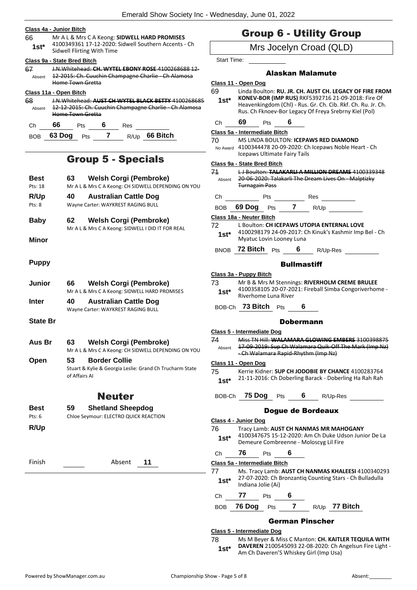#### **Class 4a - Junior Bitch**

66 Mr A L & Mrs C A Keong: **SIDWELL HARD PROMISES** 4100349361 17-12-2020: Sidwell Southern Accents - Ch Sidwell Flirting With Time **1st\***

#### **Class 9a - State Bred Bitch**

67 J.N.Whitehead: **CH. WYTEL EBONY ROSE** 4100268688 12- 12-2015: Ch. Cuuchin Champagne Charlie - Ch Alamosa Home Town Gretta Absent

## **Class 11a - Open Bitch**

| 68<br>Absent | J.N.Whitehead: AUST CH WYTEL BLACK BETTY 4100268685<br>12-12-2015: Ch. Cuuchin Champagne Charlie - Ch Alamosa<br>Home Town Gretta |     |  |      |          |  |  |
|--------------|-----------------------------------------------------------------------------------------------------------------------------------|-----|--|------|----------|--|--|
| Сh           | 66                                                                                                                                | Pts |  | Res  |          |  |  |
| <b>ROB</b>   | 63 Dog                                                                                                                            | Pts |  | R/Up | 66 Bitch |  |  |

## Group 5 - Specials

| <b>Best</b> | 63 | <b>Welsh Corgi (Pembroke)</b>                       |
|-------------|----|-----------------------------------------------------|
| Pts: 18     |    | Mr A L & Mrs C A Keong: CH SIDWELL DEPENDING ON YOU |
| R/Up        | 40 | <b>Australian Cattle Dog</b>                        |
| Pts: 8      |    | Wayne Carter: WAYKREST RAGING BULL                  |

- **Baby 62 Welsh Corgi (Pembroke)** Mr A L & Mrs C A Keong: SIDWELL I DID IT FOR REAL
- **Minor**

#### **Puppy**

| Junior       | 66 | <b>Welsh Corgi (Pembroke)</b>                 |
|--------------|----|-----------------------------------------------|
|              |    | Mr A L & Mrs C A Keong: SIDWELL HARD PROMISES |
| <b>Inter</b> | 40 | <b>Australian Cattle Dog</b>                  |

- Wayne Carter: WAYKREST RAGING BULL
- **State Br**
- **Aus Br 63 Welsh Corgi (Pembroke)**
- Mr A L & Mrs C A Keong: CH SIDWELL DEPENDING ON YOU **Open 53 Border Collie**
	- Stuart & Kylie & Georgia Leslie: Grand Ch Trucharm State of Affairs AI

## Neuter

- **Best 59 Shetland Sheepdog**
- Pts: 6 Chloe Seymour: ELECTRO QUICK REACTION **R/Up**

Finish Absent **11**

## Group 6 - Utility Group

Mrs Jocelyn Croad (QLD)

Start Time:

## Alaskan Malamute

|         | uaskan malamule                                                                                                                                                                                                                                                                                                                                                                                                                    |
|---------|------------------------------------------------------------------------------------------------------------------------------------------------------------------------------------------------------------------------------------------------------------------------------------------------------------------------------------------------------------------------------------------------------------------------------------|
|         | Class 11 - Open Dog                                                                                                                                                                                                                                                                                                                                                                                                                |
| 69      | Linda Boulton: RU. JR. CH. AUST CH. LEGACY OF FIRE FROM                                                                                                                                                                                                                                                                                                                                                                            |
| 1st*    | KONEV-BOR (IMP RUS) RKF5392716 21-09-2018: Fire Of                                                                                                                                                                                                                                                                                                                                                                                 |
|         | Heavenkingdom (Chl) - Rus. Gr. Ch. Cib. Rkf. Ch. Ru. Jr. Ch.                                                                                                                                                                                                                                                                                                                                                                       |
|         | Rus. Ch Fknoev-Bor Legacy Of Freya Srebrny Kiel (Pol)                                                                                                                                                                                                                                                                                                                                                                              |
| Ch a    | 69.<br>Pts 6                                                                                                                                                                                                                                                                                                                                                                                                                       |
|         | Class 5a - Intermediate Bitch                                                                                                                                                                                                                                                                                                                                                                                                      |
| 70      | MS LINDA BOULTON: <b>ICEPAWS RED DIAMOND</b>                                                                                                                                                                                                                                                                                                                                                                                       |
|         | No Award 4100344478 20-09-2020: Ch Icepaws Noble Heart - Ch                                                                                                                                                                                                                                                                                                                                                                        |
|         | Icepaws Ultimate Fairy Tails                                                                                                                                                                                                                                                                                                                                                                                                       |
|         | Class 9a - State Bred Bitch                                                                                                                                                                                                                                                                                                                                                                                                        |
| 71      | LJ Boulton: TALAKARLI A MILLION DREAMS 4100339348                                                                                                                                                                                                                                                                                                                                                                                  |
| Absent  | 20 06 2020: Talakarli The Dream Lives On Malptizky                                                                                                                                                                                                                                                                                                                                                                                 |
|         | <b>Turnagain Pass</b>                                                                                                                                                                                                                                                                                                                                                                                                              |
| Сh      | <b>Pts</b><br>$\frac{1}{\sqrt{1-\frac{1}{2}}\sqrt{1-\frac{1}{2}}\sqrt{1-\frac{1}{2}}\sqrt{1-\frac{1}{2}}\sqrt{1-\frac{1}{2}}\sqrt{1-\frac{1}{2}}\sqrt{1-\frac{1}{2}}\sqrt{1-\frac{1}{2}}\sqrt{1-\frac{1}{2}}\sqrt{1-\frac{1}{2}}\sqrt{1-\frac{1}{2}}\sqrt{1-\frac{1}{2}}\sqrt{1-\frac{1}{2}}\sqrt{1-\frac{1}{2}}\sqrt{1-\frac{1}{2}}\sqrt{1-\frac{1}{2}}\sqrt{1-\frac{1}{2}}\sqrt{1-\frac{1}{2}}\sqrt{1-\frac{1}{2}}\sqrt{1-\frac$ |
|         | BOB 69 Dog Pts 7 R/Up                                                                                                                                                                                                                                                                                                                                                                                                              |
|         | Class 18a - Neuter Bitch                                                                                                                                                                                                                                                                                                                                                                                                           |
| 72      | L Boulton: CH ICEPAWS UTOPIA ENTERNAL LOVE                                                                                                                                                                                                                                                                                                                                                                                         |
|         | 4100298179 24-09-2017: Ch Kinuk's Kashmir Imp Bel - Ch                                                                                                                                                                                                                                                                                                                                                                             |
| 1st*    | Myatuc Lovin Looney Luna                                                                                                                                                                                                                                                                                                                                                                                                           |
|         | BNOB 72 Bitch Pts 6 R/Up-Res                                                                                                                                                                                                                                                                                                                                                                                                       |
|         |                                                                                                                                                                                                                                                                                                                                                                                                                                    |
|         | <b>Bullmastiff</b>                                                                                                                                                                                                                                                                                                                                                                                                                 |
|         | Class 3a - Puppy Bitch                                                                                                                                                                                                                                                                                                                                                                                                             |
| 73      | Mr B & Mrs M Stennings: RIVERHOLM CREME BRULEE                                                                                                                                                                                                                                                                                                                                                                                     |
|         | 4100358105 20-07-2021: Fireball Simba Congoriverhome -                                                                                                                                                                                                                                                                                                                                                                             |
| 1st*    | Riverhome Luna River                                                                                                                                                                                                                                                                                                                                                                                                               |
|         | BOB-Ch <b>73 Bitch</b> Pts<br>6                                                                                                                                                                                                                                                                                                                                                                                                    |
|         |                                                                                                                                                                                                                                                                                                                                                                                                                                    |
|         | <b>Dobermann</b>                                                                                                                                                                                                                                                                                                                                                                                                                   |
|         | Class 5 - Intermediate Dog                                                                                                                                                                                                                                                                                                                                                                                                         |
| 74      | Miss TN Hill: WALAMARA GLOWING EMBERS 3100398875                                                                                                                                                                                                                                                                                                                                                                                   |
| Absent  | 17-09-2019: Sup Ch Walamara Quik-Off The Mark (Imp Nz)                                                                                                                                                                                                                                                                                                                                                                             |
|         | - Ch Walamara Rapid-Rhythm (Imp Nz)                                                                                                                                                                                                                                                                                                                                                                                                |
|         | Class 11 - Open Dog                                                                                                                                                                                                                                                                                                                                                                                                                |
| 75      | Kerrie Kidner: SUP CH JODOBIE BY CHANCE 4100283764                                                                                                                                                                                                                                                                                                                                                                                 |
| $1st^*$ | 21-11-2016: Ch Doberling Barack - Doberling Ha Rah Rah                                                                                                                                                                                                                                                                                                                                                                             |
|         |                                                                                                                                                                                                                                                                                                                                                                                                                                    |
|         | BOB-Ch 75 Dog Pts 6 R/Up-Res                                                                                                                                                                                                                                                                                                                                                                                                       |
|         |                                                                                                                                                                                                                                                                                                                                                                                                                                    |
|         | <b>Dogue de Bordeaux</b>                                                                                                                                                                                                                                                                                                                                                                                                           |
|         | Class 4 - Junior Dog                                                                                                                                                                                                                                                                                                                                                                                                               |
| 76 -    | Tracy Lamb: AUST CH NANMAS MR MAHOGANY                                                                                                                                                                                                                                                                                                                                                                                             |
| $1st^*$ | 4100347675 15-12-2020: Am Ch Duke Udson Junior De La                                                                                                                                                                                                                                                                                                                                                                               |
|         | Demeure Combreenne - Moloscyg Lil Fire                                                                                                                                                                                                                                                                                                                                                                                             |
|         | Ch 76 Pts 6                                                                                                                                                                                                                                                                                                                                                                                                                        |
|         | Class 5a - Intermediate Bitch                                                                                                                                                                                                                                                                                                                                                                                                      |
| 77 —    | Ms. Tracy Lamb: AUST CH NANMAS KHALEESI 4100340293                                                                                                                                                                                                                                                                                                                                                                                 |
| $1st^*$ | 27-07-2020: Ch Bronzantiq Counting Stars - Ch Bulladulla                                                                                                                                                                                                                                                                                                                                                                           |
|         | Indiana Jolie (Ai)                                                                                                                                                                                                                                                                                                                                                                                                                 |
|         | Ch 77 Pts 6                                                                                                                                                                                                                                                                                                                                                                                                                        |
| BOB     | 76 Dog Pts 7 R/Up 77 Bitch                                                                                                                                                                                                                                                                                                                                                                                                         |
|         | <b>German Pinscher</b>                                                                                                                                                                                                                                                                                                                                                                                                             |
|         |                                                                                                                                                                                                                                                                                                                                                                                                                                    |
|         | Class 5 - Intermediate Dog                                                                                                                                                                                                                                                                                                                                                                                                         |

78 Ms M Beyer & Miss C Manton: **CH. KAITLER TEQUILA WITH DAVEREN** 2100545093 22-08-2020: Ch Angelsun Fire Light - **1st\*** DAVEREN 2100545093 22-08-2020: Ch A<br>Am Ch Daveren'S Whiskey Girl (Imp Usa)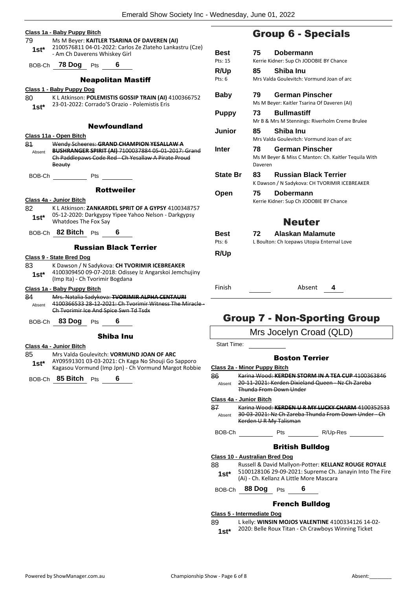|               | Class 1a - Baby Puppy Bitch                                                                                                                                       |                  |
|---------------|-------------------------------------------------------------------------------------------------------------------------------------------------------------------|------------------|
| 79            | Ms M Beyer: KAITLER TSARINA OF DAVEREN (AI)<br>2100576811 04-01-2022: Carlos Ze Zlateho Lankastru (Cze)                                                           |                  |
| $1st^*$       | - Am Ch Daverens Whiskey Girl                                                                                                                                     | Best<br>Pts: 15  |
|               | BOB-Ch 78 Dog Pts 6                                                                                                                                               | R/Up             |
|               | <b>Neapolitan Mastiff</b>                                                                                                                                         | Pts: 6           |
|               | Class 1 - Baby Puppy Dog                                                                                                                                          |                  |
| 80<br>$1st^*$ | K L Atkinson: POLEMISTIS GOSSIP TRAIN (AI) 4100366752<br>23-01-2022: Corrado'S Orazio - Polemistis Eris                                                           | Baby             |
|               |                                                                                                                                                                   | Puppy            |
|               | <b>Newfoundland</b>                                                                                                                                               | Junior           |
|               | Class 11a - Open Bitch                                                                                                                                            |                  |
| 81<br>Absent  | Wendy Scheeres: GRAND CHAMPION YESALLAW A<br>BUSHRANGER SPIRIT (AI) 7100037884 05-01-2017: Grand<br>Ch Paddlepaws Code Red - Ch Yesallaw A Pirate Proud<br>Beauty | Inter            |
|               | BOB-Ch Pts                                                                                                                                                        | <b>State I</b>   |
|               | <b>Rottweiler</b>                                                                                                                                                 | Open             |
|               | Class 4a - Junior Bitch                                                                                                                                           |                  |
| 82            | K L Atkinson: ZANKARDEL SPRIT OF A GYPSY 4100348757                                                                                                               |                  |
| 1st $^*$      | 05-12-2020: Darkgypsy Yipee Yahoo Nelson - Darkgypsy<br>Whatdoes The Fox Say                                                                                      |                  |
|               | BOB-Ch 82 Bitch Pts 6                                                                                                                                             | Best<br>Pts: 6   |
|               | <b>Russian Black Terrier</b>                                                                                                                                      |                  |
|               | Class 9 - State Bred Dog                                                                                                                                          | R/Up             |
| 83            | K Dawson / N Sadykova: CH TVORIMIR ICEBREAKER                                                                                                                     |                  |
| $1st^*$       | 4100309450 09-07-2018: Odissey Iz Angarskoi Jemchujiny<br>(Imp Ita) - Ch Tvorimir Bogdana                                                                         |                  |
|               | Class 1a - Baby Puppy Bitch                                                                                                                                       | Finish           |
| 84            | Mrs. Natalia Sadykova: TVORIMIR ALPHA CENTAURI                                                                                                                    |                  |
| Absent        | 4100366533 28-12-2021: Ch Tyorimir Witness The Miracle -<br>Ch Tvorimir Ice And Spice Swn Td Tsdx                                                                 |                  |
|               |                                                                                                                                                                   | Gr               |
|               | BOB-Ch 83 Dog Pts 6                                                                                                                                               |                  |
|               | Shiba Inu                                                                                                                                                         |                  |
|               | <u> Class 4a - Junior Bitch</u>                                                                                                                                   | <b>Start Tir</b> |
| 85            | Mrs Valda Goulevitch: VORMUND JOAN OF ARC                                                                                                                         |                  |
| $1st^*$       | AY09591301 03-03-2021: Ch Kaga No Shouji Go Sapporo<br>Kagasou Vormund (Imp Jpn) - Ch Vormund Margot Robbie                                                       | Class 2a         |
|               |                                                                                                                                                                   | 86               |
| BOB-Ch        | 85 Bitch<br>6<br>Pts                                                                                                                                              | Absent           |
|               |                                                                                                                                                                   | Class 4a         |
|               |                                                                                                                                                                   | 87               |
|               |                                                                                                                                                                   | Absent           |
|               |                                                                                                                                                                   | BOB-Ch           |
|               |                                                                                                                                                                   | Class 10         |
|               |                                                                                                                                                                   | 88               |
|               |                                                                                                                                                                   |                  |

## Group 6 - Specials

| Best            | 75      | Dobermann                                            |
|-----------------|---------|------------------------------------------------------|
| Pts: 15         |         | Kerrie Kidner: Sup Ch JODOBIE BY Chance              |
| R/Up            | 85      | Shiba Inu                                            |
| Pts: 6          |         | Mrs Valda Goulevitch: Vormund Joan of arc            |
| Baby            | 79      | <b>German Pinscher</b>                               |
|                 |         | Ms M Beyer: Kaitler Tsarina Of Daveren (AI)          |
| <b>Puppy</b>    | 73      | <b>Bullmastiff</b>                                   |
|                 |         | Mr B & Mrs M Stennings: Riverholm Creme Brulee       |
| Junior          | 85      | Shiba Inu                                            |
|                 |         | Mrs Valda Goulevitch: Vormund Joan of arc            |
| Inter           | 78.     | German Pinscher                                      |
|                 |         | Ms M Beyer & Miss C Manton: Ch. Kaitler Tequila With |
|                 | Daveren |                                                      |
|                 |         |                                                      |
| <b>State Br</b> | 83.     | <b>Russian Black Terrier</b>                         |
|                 |         | K Dawson / N Sadykova: CH TVORIMIR ICEBREAKER        |
| Open            | 75      | Dobermann                                            |
|                 |         | Kerrie Kidner: Sup Ch JODOBIE BY Chance              |
|                 |         |                                                      |
|                 |         | <b>Neuter</b>                                        |
| <b>Best</b>     | 72      | Alaskan Malamute                                     |
| Pts: 6          |         | L Boulton: Ch Icepaws Utopia Enternal Love           |
|                 |         |                                                      |
| R/Up            |         |                                                      |
|                 |         |                                                      |
|                 |         |                                                      |

## oup 7 - Non-Sporting Group

Mrs Jocelyn Croad (QLD)

me:

#### Boston Terrier

#### **Class 2a - Minor Puppy Bitch**

86 Karina Wood: **KERDEN STORM IN A TEA CUP** 4100363846 20-11-2021: Kerden Dixieland Queen - Nz Ch Zareba Thunda From Down Under

## **Class 4a - Junior Bitch**

87 Karina Wood: **KERDEN U R MY LUCKY CHARM** 4100352533 30-03-2021: Nz Ch Zareba Thunda From Down Under - Ch Kerden U R My Talisman

BOB-Ch Pts R/Up-Res

## British Bulldog

## **Class 10 - Australian Bred Dog**

88 Russell & David Mallyon-Potter: **KELLANZ ROUGE ROYALE** 5100128106 29-09-2021: Supreme Ch. Janayin Into The Fire (Ai) - Ch. Kellanz A Little More Mascara **1st\***

BOB-Ch **88 Dog** Pts **6**

#### French Bulldog

#### **Class 5 - Intermediate Dog**

89 L kelly: **WINSIN MOJOS VALENTINE** 4100334126 14-02-

1st\* 2020: Belle Roux Titan - Ch Crawboys Winning Ticket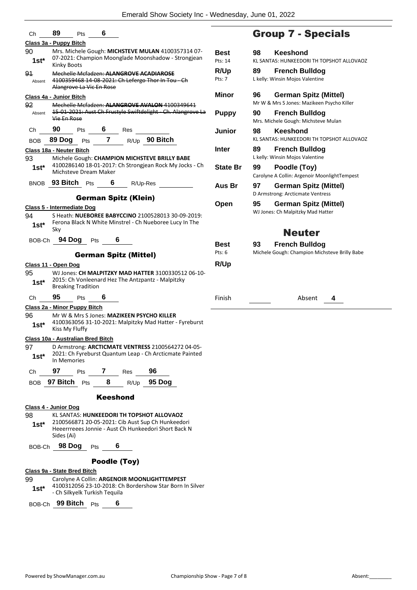|                 | Ch 89<br>Pts $6$                                                                                                                          |
|-----------------|-------------------------------------------------------------------------------------------------------------------------------------------|
|                 | Class 3a - Puppy Bitch                                                                                                                    |
| 90<br>1st*      | Mrs. Michele Gough: MICHSTEVE MULAN 4100357314 07-<br>07-2021: Champion Moonglade Moonshadow - Strongjean<br><b>Kinky Boots</b>           |
| 91<br>Absent    | Mechelle Mcfadzen: ALANGROVE ACADIAROSE<br>4100359468 14-08-2021: Ch Lefergo Thor In Tou - Ch<br>Alangrove La Vic En Rose                 |
|                 | Class 4a - Junior Bitch                                                                                                                   |
| 92              | Mechelle Mcfadzen: <b>ALANGROVE AVALON</b> 4100349641                                                                                     |
| Absent          | 15 01 2021: Aust Ch Frustyle Swiftdelight Ch. Alangrove La<br>Vie En Rose                                                                 |
|                 | Ch <u>90</u> Pts 6 Res                                                                                                                    |
|                 | BOB 89 Dog Pts 7 R/Up 90 Bitch                                                                                                            |
|                 | Class 18a - Neuter Bitch                                                                                                                  |
|                 | 93 Michele Gough: CHAMPION MICHSTEVE BRILLY BABE<br>1st* 4100286140 18-01-2017: Ch Strongjean Rock My Jocks - Ch<br>Michsteve Dream Maker |
|                 | BNOB 93 Bitch Pts 6 R/Up-Res _                                                                                                            |
|                 | <b>German Spitz (Klein)</b>                                                                                                               |
|                 | Class 5 - Intermediate Dog                                                                                                                |
| 94 —            | S Heath: <b>NUEBOREE BABYCCINO</b> 2100528013 30-09-2019:                                                                                 |
| 1st*            | Ferona Black N White Minstrel - Ch Nueboree Lucy In The                                                                                   |
|                 | Sky                                                                                                                                       |
|                 | BOB-Ch 94 Dog Pts 6                                                                                                                       |
|                 | <b>German Spitz (Mittel)</b>                                                                                                              |
|                 | Class 11 - Open Dog                                                                                                                       |
| 95<br>$1st^*$   | WJ Jones: CH MALPITZKY MAD HATTER 3100330512 06-10-<br>2015: Ch Vonleenard Hez The Antzpantz - Malpitzky<br><b>Breaking Tradition</b>     |
|                 | Ch 95 Pts 6                                                                                                                               |
|                 | Class 2a - Minor Puppy Bitch                                                                                                              |
| 96 —<br>$1st^*$ | Mr W & Mrs S Jones: MAZIKEEN PSYCHO KILLER<br>4100363056 31-10-2021: Malpitzky Mad Hatter - Fyreburst<br>Kiss My Fluffy                   |
|                 | <u> Class 10a - Australian Bred Bitch</u>                                                                                                 |
| 97<br>1st*      | D Armstrong: ARCTICMATE VENTRESS 2100564272 04-05-<br>2021: Ch Fyreburst Quantum Leap - Ch Arcticmate Painted<br>In Memories              |
| Ch              | 97<br>Pts 7<br>96<br>Res                                                                                                                  |
| BOB.            | R/Up 95 Dog<br><b>97 Bitch</b> $P$ ts<br>8                                                                                                |
|                 | <b>Keeshond</b>                                                                                                                           |
|                 | Class 4 - Junior Dog                                                                                                                      |
| 98              | KL SANTAS: HUNKEEDORI TH TOPSHOT ALLOVAOZ                                                                                                 |
| $1st^*$         | 2100566871 20-05-2021: Cib Aust Sup Ch Hunkeedori<br>Heeerrreees Jonnie - Aust Ch Hunkeedori Short Back N<br>Sides (Ai)                   |
|                 | BOB-Ch 98 Dog Pts<br>6                                                                                                                    |
|                 | Poodle (Toy)                                                                                                                              |
|                 | Class 9a - State Bred Bitch                                                                                                               |
| 99<br>1st*      | Carolyne A Collin: ARGENOIR MOONLIGHTTEMPEST<br>4100312056 23-10-2018: Ch Bordershow Star Born In Silver<br>- Ch Silkyelk Turkish Tequila |

BOB-Ch **99 Bitch** Pts **6**

## Group 7 - Specials

| <b>Best</b><br>Pts: 14 | 98 | Keeshond<br>KL SANTAS: HUNKEEDORI TH TOPSHOT ALLOVAOZ                  |
|------------------------|----|------------------------------------------------------------------------|
| <b>R/Up</b><br>Pts: 7  | 89 | <b>French Bulldog</b><br>L kelly: Winsin Mojos Valentine               |
| <b>Minor</b>           | 96 | German Spitz (Mittel)<br>Mr W & Mrs S Jones: Mazikeen Psycho Killer    |
| <b>Puppy</b>           | 90 | <b>French Bulldog</b><br>Mrs. Michele Gough: Michsteve Mulan           |
| Junior                 | 98 | Keeshond<br>KL SANTAS: HUNKEEDORI TH TOPSHOT ALLOVAOZ                  |
| Inter                  | 89 | <b>French Bulldog</b><br>L kelly: Winsin Mojos Valentine               |
| <b>State Br</b>        | 99 | Poodle (Toy)<br>Carolyne A Collin: Argenoir MoonlightTempest           |
| Aus Br                 | 97 | <b>German Spitz (Mittel)</b><br>D Armstrong: Arcticmate Ventress       |
| Open                   | 95 | German Spitz (Mittel)<br>WJ Jones: Ch Malpitzky Mad Hatter             |
|                        |    | <b>Neuter</b>                                                          |
| <b>Best</b><br>Pts: 6  | 93 | <b>French Bulldog</b><br>Michele Gough: Champion Michsteve Brilly Babe |
| R/Up                   |    |                                                                        |
| Finish                 |    | Absent<br>4                                                            |
|                        |    |                                                                        |